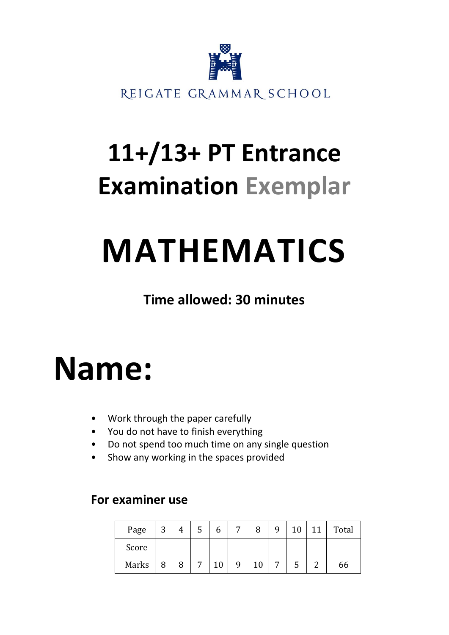

## **11+/13+ PT Entrance Examination Exemplar**

## **MATHEMATICS**

**Time allowed: 30 minutes**

## **Name:**

- Work through the paper carefully
- You do not have to finish everything
- Do not spend too much time on any single question
- Show any working in the spaces provided

## **For examiner use**

| Page  | 3 |   | C | O  | ⇁ | 8 | q | 10 | 11 | Total |
|-------|---|---|---|----|---|---|---|----|----|-------|
| Score |   |   |   |    |   |   |   |    |    |       |
| Marks | 8 | 8 | 7 | 10 | 9 |   | ⇁ | C  | ⌒  | 66    |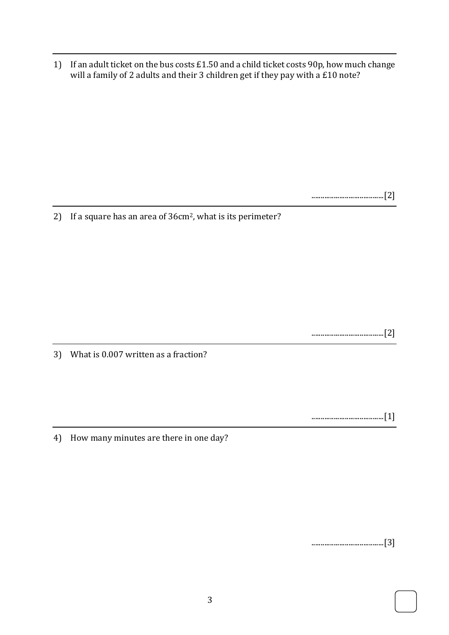1) If an adult ticket on the bus costs £1.50 and a child ticket costs 90p, how much change will a family of 2 adults and their 3 children get if they pay with a £10 note?

.......................................[2]

2) If a square has an area of 36cm2, what is its perimeter?

.......................................[2]

3) What is 0.007 written as a fraction?

.......................................[1]

4) How many minutes are there in one day?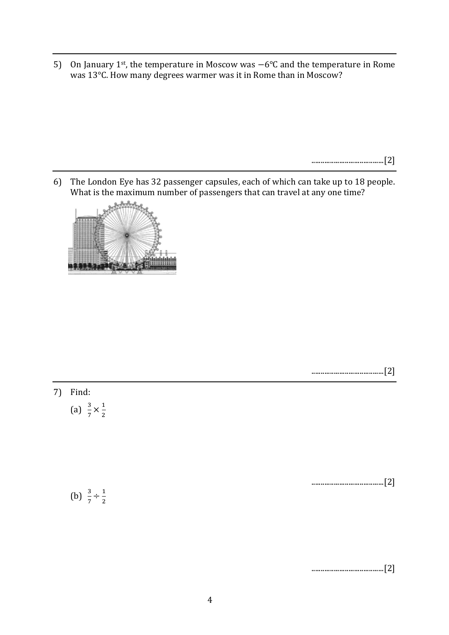5) On January 1st, the temperature in Moscow was −6°C and the temperature in Rome was 13°C. How many degrees warmer was it in Rome than in Moscow?

.......................................[2]

6) The London Eye has 32 passenger capsules, each of which can take up to 18 people. What is the maximum number of passengers that can travel at any one time?



| 7) Find:                             |     |
|--------------------------------------|-----|
| (a) $\frac{3}{7} \times \frac{1}{2}$ |     |
|                                      |     |
|                                      |     |
|                                      |     |
|                                      | 12] |
| (b) $\frac{3}{7} \div \frac{1}{2}$   |     |
|                                      |     |

.......................................[2]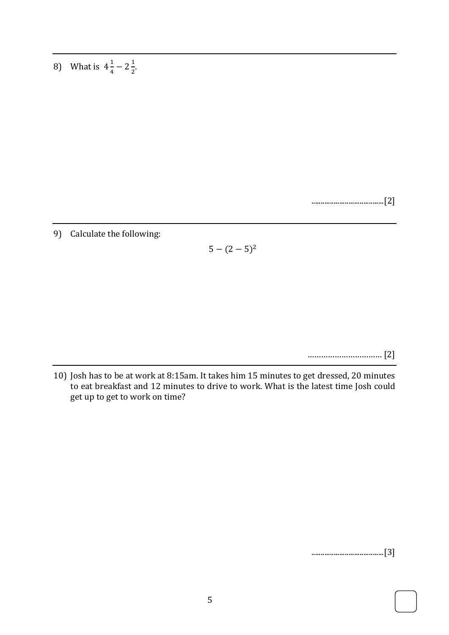8) What is  $4\frac{1}{4}$  $\frac{1}{4}$  – 2 $\frac{1}{2}$  $\frac{1}{2}$ .

.......................................[2]

9) Calculate the following:

 $5 - (2 - 5)^2$ 

…………………………… [2]

10) Josh has to be at work at 8:15am. It takes him 15 minutes to get dressed, 20 minutes to eat breakfast and 12 minutes to drive to work. What is the latest time Josh could get up to get to work on time?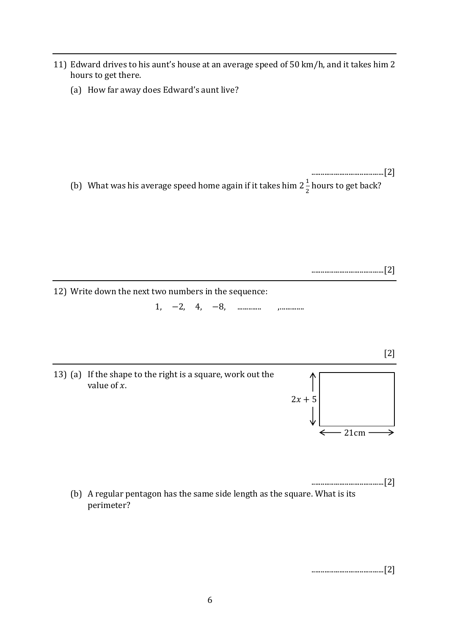- 11) Edward drives to his aunt's house at an average speed of 50 km/h, and it takes him 2 hours to get there.
	- (a) How far away does Edward's aunt live?

.......................................[2] (b) What was his average speed home again if it takes him 2 $\frac{1}{3}$  $\frac{1}{2}$  hours to get back?

.......................................[2]

[2]

⇒

12) Write down the next two numbers in the sequence:

1, −2, 4, −8, ............. ,.............

13) (a) If the shape to the right is a square, work out the value of  $x$ .  $2x + 5$ 

.......................................[2] (b) A regular pentagon has the same side length as the square. What is its perimeter?

.......................................[2]

21cm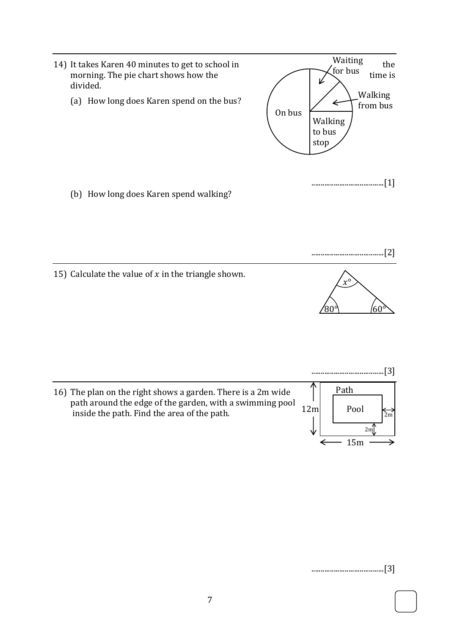

15) Calculate the value of  $x$  in the triangle shown.



16) The plan on the right shows a garden. There is a 2m wide path around the edge of the garden, with a swimming pool inside the path. Find the area of the path.



.......................................[3]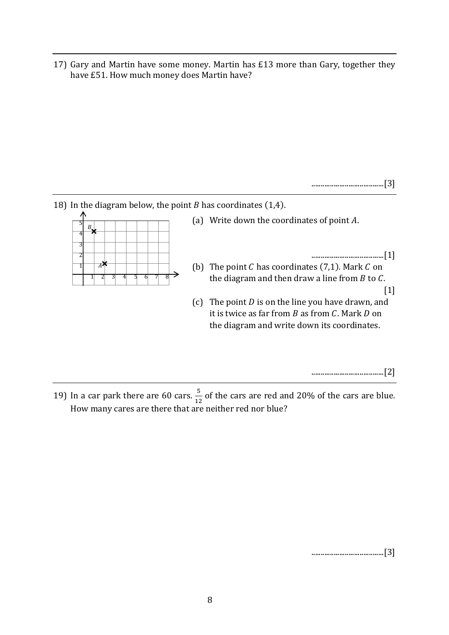17) Gary and Martin have some money. Martin has £13 more than Gary, together they have £51. How much money does Martin have?

.......................................[3]

18) In the diagram below, the point  $B$  has coordinates (1,4).

| ξ | В. |                      |  |  |   |  |
|---|----|----------------------|--|--|---|--|
|   |    |                      |  |  |   |  |
| ٦ |    |                      |  |  |   |  |
| Ξ |    |                      |  |  |   |  |
|   |    | $\overrightarrow{A}$ |  |  |   |  |
|   |    |                      |  |  | 8 |  |

(a) Write down the coordinates of point  $A$ .

.......................................[1]

- (b) The point  $C$  has coordinates (7,1). Mark  $C$  on the diagram and then draw a line from  $B$  to  $C$ . [1]
- (c) The point  $D$  is on the line you have drawn, and it is twice as far from  $B$  as from  $C$ . Mark  $D$  on the diagram and write down its coordinates.

.......................................[2]

19) In a car park there are 60 cars.  $\frac{5}{12}$  of the cars are red and 20% of the cars are blue. How many cares are there that are neither red nor blue?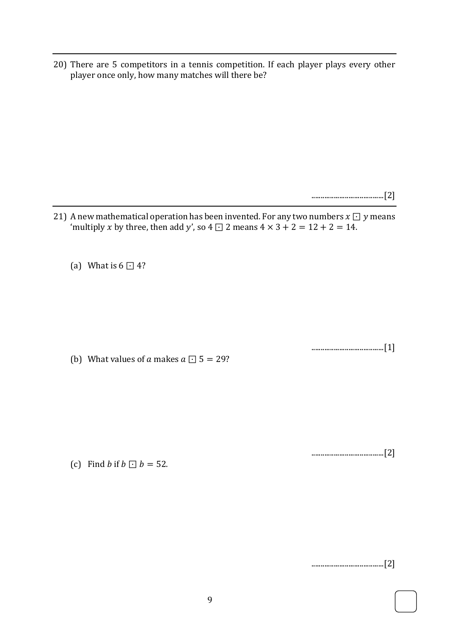20) There are 5 competitors in a tennis competition. If each player plays every other player once only, how many matches will there be?

.......................................[2]

21) A new mathematical operation has been invented. For any two numbers  $x \bigcup y$  means 'multiply *x* by three, then add *y'*, so 4  $\Box$  2 means  $4 \times 3 + 2 = 12 + 2 = 14$ .

(a) What is  $6 \square 4$ ?

.......................................[1]

(b) What values of  $\alpha$  makes  $\alpha \Box 5 = 29$ ?

(c) Find *b* if  $b \Box b = 52$ .

.......................................[2]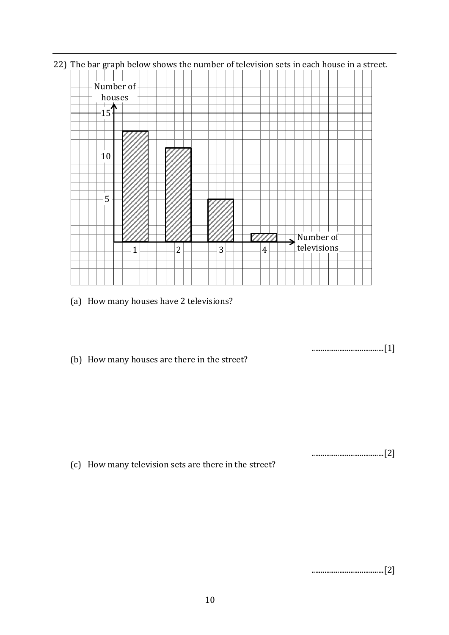- Number of houses  $15<sup>+</sup>$ 10 5  $\frac{1}{2}$ Number of 77777 televisions  $1 \rightarrow 2 \rightarrow 3 \rightarrow 4$
- 22) The bar graph below shows the number of television sets in each house in a street.

(a) How many houses have 2 televisions?

.......................................[1]

.......................................[2]

(b) How many houses are there in the street?

(c) How many television sets are there in the street?